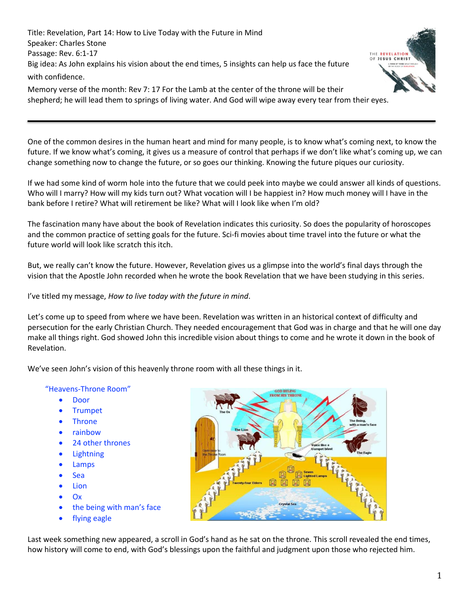Title: Revelation, Part 14: How to Live Today with the Future in Mind Speaker: Charles Stone Passage: Rev. 6:1-17 Big idea: As John explains his vision about the end times, 5 insights can help us face the future with confidence.



Memory verse of the month: Rev 7: 17 For the Lamb at the center of the throne will be their shepherd; he will lead them to springs of living water. And God will wipe away every tear from their eyes.

One of the common desires in the human heart and mind for many people, is to know what's coming next, to know the future. If we know what's coming, it gives us a measure of control that perhaps if we don't like what's coming up, we can change something now to change the future, or so goes our thinking. Knowing the future piques our curiosity.

If we had some kind of worm hole into the future that we could peek into maybe we could answer all kinds of questions. Who will I marry? How will my kids turn out? What vocation will I be happiest in? How much money will I have in the bank before I retire? What will retirement be like? What will I look like when I'm old?

The fascination many have about the book of Revelation indicates this curiosity. So does the popularity of horoscopes and the common practice of setting goals for the future. Sci-fi movies about time travel into the future or what the future world will look like scratch this itch.

But, we really can't know the future. However, Revelation gives us a glimpse into the world's final days through the vision that the Apostle John recorded when he wrote the book Revelation that we have been studying in this series.

I've titled my message, *How to live today with the future in mind*.

Let's come up to speed from where we have been. Revelation was written in an historical context of difficulty and persecution for the early Christian Church. They needed encouragement that God was in charge and that he will one day make all things right. God showed John this incredible vision about things to come and he wrote it down in the book of Revelation.

We've seen John's vision of this heavenly throne room with all these things in it.

#### "Heavens-Throne Room"

- Door
- Trumpet
- **Throne**
- rainbow
- 24 other thrones
- Lightning
- Lamps
- Sea
- Lion
- Ox
- the being with man's face
- flying eagle



Last week something new appeared, a scroll in God's hand as he sat on the throne. This scroll revealed the end times, how history will come to end, with God's blessings upon the faithful and judgment upon those who rejected him.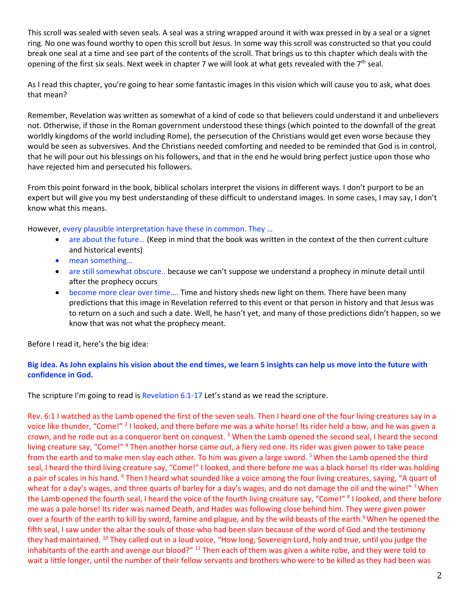This scroll was sealed with seven seals. A seal was a string wrapped around it with wax pressed in by a seal or a signet ring. No one was found worthy to open this scroll but Jesus. In some way this scroll was constructed so that you could break one seal at a time and see part of the contents of the scroll. That brings us to this chapter which deals with the opening of the first six seals. Next week in chapter 7 we will look at what gets revealed with the  $7<sup>th</sup>$  seal.

As I read this chapter, you're going to hear some fantastic images in this vision which will cause you to ask, what does that mean?

Remember, Revelation was written as somewhat of a kind of code so that believers could understand it and unbelievers not. Otherwise, if those in the Roman government understood these things (which pointed to the downfall of the great worldly kingdoms of the world including Rome), the persecution of the Christians would get even worse because they would be seen as subversives. And the Christians needed comforting and needed to be reminded that God is in control, that he will pour out his blessings on his followers, and that in the end he would bring perfect justice upon those who have rejected him and persecuted his followers.

From this point forward in the book, biblical scholars interpret the visions in different ways. I don't purport to be an expert but will give you my best understanding of these difficult to understand images. In some cases, I may say, I don't know what this means.

However, every plausible interpretation have these in common. They …

- are about the future... (Keep in mind that the book was written in the context of the then current culture and historical events)
- mean something...
- are still somewhat obscure.. because we can't suppose we understand a prophecy in minute detail until after the prophecy occurs
- become more clear over time.... Time and history sheds new light on them. There have been many predictions that this image in Revelation referred to this event or that person in history and that Jesus was to return on a such and such a date. Well, he hasn't yet, and many of those predictions didn't happen, so we know that was not what the prophecy meant.

Before I read it, here's the big idea:

## **Big idea. As John explains his vision about the end times, we learn 5 insights can help us move into the future with confidence in God.**

The scripture I'm going to read is Revelation 6.1-17 Let's stand as we read the scripture.

Rev. 6:1 I watched as the Lamb opened the first of the seven seals. Then I heard one of the four living creatures say in a voice like thunder, "Come!" <sup>2</sup> I looked, and there before me was a white horse! Its rider held a bow, and he was given a crown, and he rode out as a conqueror bent on conquest.<sup>3</sup> When the Lamb opened the second seal, I heard the second living creature say, "Come!" <sup>4</sup> Then another horse came out, a fiery red one. Its rider was given power to take peace from the earth and to make men slay each other. To him was given a large sword. <sup>5</sup> When the Lamb opened the third seal, I heard the third living creature say, "Come!" I looked, and there before me was a black horse! Its rider was holding a pair of scales in his hand. <sup>6</sup> Then I heard what sounded like a voice among the four living creatures, saying, "A quart of wheat for a day's wages, and three quarts of barley for a day's wages, and do not damage the oil and the wine!" <sup>7</sup> When the Lamb opened the fourth seal, I heard the voice of the fourth living creature say, "Come!" <sup>8</sup> I looked, and there before me was a pale horse! Its rider was named Death, and Hades was following close behind him. They were given power over a fourth of the earth to kill by sword, famine and plague, and by the wild beasts of the earth.<sup>9</sup> When he opened the fifth seal, I saw under the altar the souls of those who had been slain because of the word of God and the testimony they had maintained. <sup>10</sup> They called out in a loud voice, "How long, Sovereign Lord, holy and true, until you judge the inhabitants of the earth and avenge our blood?" <sup>11</sup> Then each of them was given a white robe, and they were told to wait a little longer, until the number of their fellow servants and brothers who were to be killed as they had been was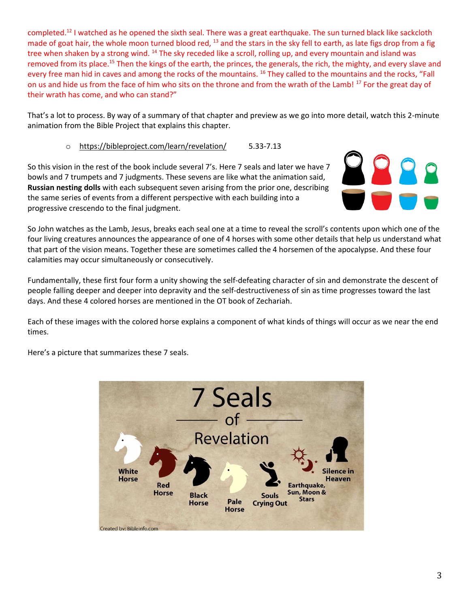completed.<sup>12</sup> I watched as he opened the sixth seal. There was a great earthquake. The sun turned black like sackcloth made of goat hair, the whole moon turned blood red, <sup>13</sup> and the stars in the sky fell to earth, as late figs drop from a fig tree when shaken by a strong wind. <sup>14</sup> The sky receded like a scroll, rolling up, and every mountain and island was removed from its place.<sup>15</sup> Then the kings of the earth, the princes, the generals, the rich, the mighty, and every slave and every free man hid in caves and among the rocks of the mountains. <sup>16</sup> They called to the mountains and the rocks, "Fall on us and hide us from the face of him who sits on the throne and from the wrath of the Lamb! <sup>17</sup> For the great day of their wrath has come, and who can stand?"

That's a lot to process. By way of a summary of that chapter and preview as we go into more detail, watch this 2-minute animation from the Bible Project that explains this chapter.

## o <https://bibleproject.com/learn/revelation/> 5.33-7.13

So this vision in the rest of the book include several 7's. Here 7 seals and later we have 7 bowls and 7 trumpets and 7 judgments. These sevens are like what the animation said, **Russian nesting dolls** with each subsequent seven arising from the prior one, describing the same series of events from a different perspective with each building into a progressive crescendo to the final judgment.



So John watches as the Lamb, Jesus, breaks each seal one at a time to reveal the scroll's contents upon which one of the four living creatures announces the appearance of one of 4 horses with some other details that help us understand what that part of the vision means. Together these are sometimes called the 4 horsemen of the apocalypse. And these four calamities may occur simultaneously or consecutively.

Fundamentally, these first four form a unity showing the self-defeating character of sin and demonstrate the descent of people falling deeper and deeper into depravity and the self-destructiveness of sin as time progresses toward the last days. And these 4 colored horses are mentioned in the OT book of Zechariah.

Each of these images with the colored horse explains a component of what kinds of things will occur as we near the end times.

Here's a picture that summarizes these 7 seals.

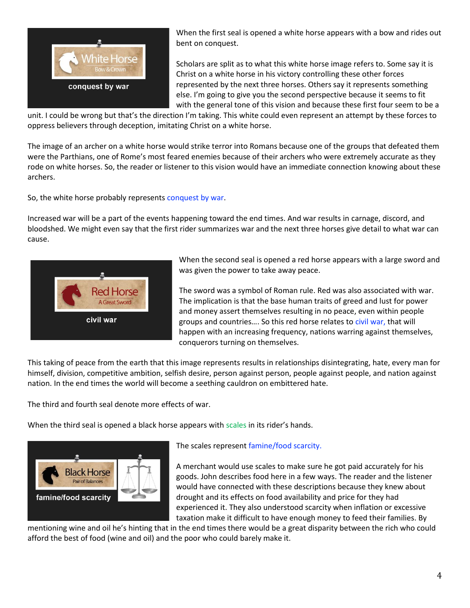

When the first seal is opened a white horse appears with a bow and rides out bent on conquest.

Scholars are split as to what this white horse image refers to. Some say it is Christ on a white horse in his victory controlling these other forces represented by the next three horses. Others say it represents something else. I'm going to give you the second perspective because it seems to fit with the general tone of this vision and because these first four seem to be a

unit. I could be wrong but that's the direction I'm taking. This white could even represent an attempt by these forces to oppress believers through deception, imitating Christ on a white horse.

The image of an archer on a white horse would strike terror into Romans because one of the groups that defeated them were the Parthians, one of Rome's most feared enemies because of their archers who were extremely accurate as they rode on white horses. So, the reader or listener to this vision would have an immediate connection knowing about these archers.

So, the white horse probably represents conquest by war.

Increased war will be a part of the events happening toward the end times. And war results in carnage, discord, and bloodshed. We might even say that the first rider summarizes war and the next three horses give detail to what war can cause.



When the second seal is opened a red horse appears with a large sword and was given the power to take away peace.

The sword was a symbol of Roman rule. Red was also associated with war. The implication is that the base human traits of greed and lust for power and money assert themselves resulting in no peace, even within people groups and countries…. So this red horse relates to civil war, that will happen with an increasing frequency, nations warring against themselves, conquerors turning on themselves.

This taking of peace from the earth that this image represents results in relationships disintegrating, hate, every man for himself, division, competitive ambition, selfish desire, person against person, people against people, and nation against nation. In the end times the world will become a seething cauldron on embittered hate.

The third and fourth seal denote more effects of war.

When the third seal is opened a black horse appears with scales in its rider's hands.



The scales represent famine/food scarcity.

A merchant would use scales to make sure he got paid accurately for his goods. John describes food here in a few ways. The reader and the listener would have connected with these descriptions because they knew about drought and its effects on food availability and price for they had experienced it. They also understood scarcity when inflation or excessive taxation make it difficult to have enough money to feed their families. By

mentioning wine and oil he's hinting that in the end times there would be a great disparity between the rich who could afford the best of food (wine and oil) and the poor who could barely make it.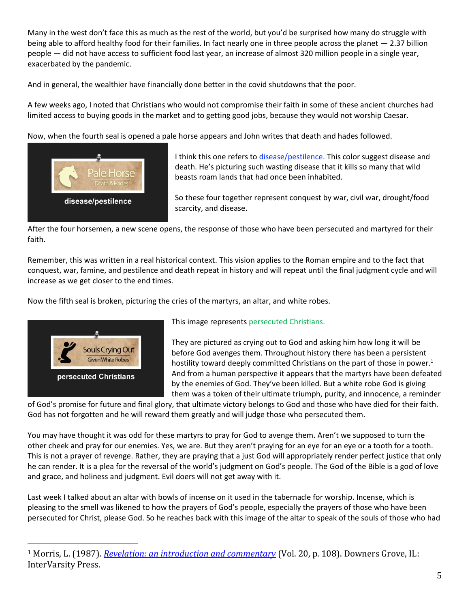Many in the west don't face this as much as the rest of the world, but you'd be surprised how many do struggle with being able to afford healthy food for their families. In fact nearly one in three people across the planet — 2.37 billion people — did not have access to sufficient food last year, an increase of almost 320 million people in a single year, exacerbated by the pandemic.

And in general, the wealthier have financially done better in the covid shutdowns that the poor.

A few weeks ago, I noted that Christians who would not compromise their faith in some of these ancient churches had limited access to buying goods in the market and to getting good jobs, because they would not worship Caesar.

Now, when the fourth seal is opened a pale horse appears and John writes that death and hades followed.



I think this one refers to disease/pestilence. This color suggest disease and death. He's picturing such wasting disease that it kills so many that wild beasts roam lands that had once been inhabited.

So these four together represent conquest by war, civil war, drought/food scarcity, and disease.

After the four horsemen, a new scene opens, the response of those who have been persecuted and martyred for their faith.

Remember, this was written in a real historical context. This vision applies to the Roman empire and to the fact that conquest, war, famine, and pestilence and death repeat in history and will repeat until the final judgment cycle and will increase as we get closer to the end times.

Now the fifth seal is broken, picturing the cries of the martyrs, an altar, and white robes.



This image represents persecuted Christians.

They are pictured as crying out to God and asking him how long it will be before God avenges them. Throughout history there has been a persistent hostility toward deeply committed Christians on the part of those in power.<sup>1</sup> And from a human perspective it appears that the martyrs have been defeated by the enemies of God. They've been killed. But a white robe God is giving them was a token of their ultimate triumph, purity, and innocence, a reminder

of God's promise for future and final glory, that ultimate victory belongs to God and those who have died for their faith. God has not forgotten and he will reward them greatly and will judge those who persecuted them.

You may have thought it was odd for these martyrs to pray for God to avenge them. Aren't we supposed to turn the other cheek and pray for our enemies. Yes, we are. But they aren't praying for an eye for an eye or a tooth for a tooth. This is not a prayer of revenge. Rather, they are praying that a just God will appropriately render perfect justice that only he can render. It is a plea for the reversal of the world's judgment on God's people. The God of the Bible is a god of love and grace, and holiness and judgment. Evil doers will not get away with it.

Last week I talked about an altar with bowls of incense on it used in the tabernacle for worship. Incense, which is pleasing to the smell was likened to how the prayers of God's people, especially the prayers of those who have been persecuted for Christ, please God. So he reaches back with this image of the altar to speak of the souls of those who had

<sup>1</sup> Morris, L. (1987). *[Revelation: an introduction and commentary](https://ref.ly/logosres/tntc87reus?ref=Bible.Re6.9&off=714&ctx=are+a+reminder+that+~throughout+history+t)* (Vol. 20, p. 108). Downers Grove, IL: InterVarsity Press.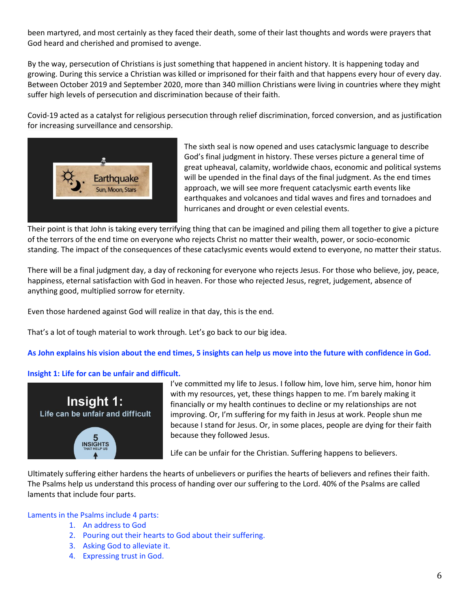been martyred, and most certainly as they faced their death, some of their last thoughts and words were prayers that God heard and cherished and promised to avenge.

By the way, persecution of Christians is just something that happened in ancient history. It is happening today and growing. During this service a Christian was killed or imprisoned for their faith and that happens every hour of every day. Between October 2019 and September 2020, more than 340 million Christians were living in countries where they might suffer high levels of persecution and discrimination because of their faith.

Covid-19 acted as a catalyst for religious persecution through relief discrimination, forced conversion, and as justification for increasing surveillance and censorship.



The sixth seal is now opened and uses cataclysmic language to describe God's final judgment in history. These verses picture a general time of great upheaval, calamity, worldwide chaos, economic and political systems will be upended in the final days of the final judgment. As the end times approach, we will see more frequent cataclysmic earth events like earthquakes and volcanoes and tidal waves and fires and tornadoes and hurricanes and drought or even celestial events.

Their point is that John is taking every terrifying thing that can be imagined and piling them all together to give a picture of the terrors of the end time on everyone who rejects Christ no matter their wealth, power, or socio-economic standing. The impact of the consequences of these cataclysmic events would extend to everyone, no matter their status.

There will be a final judgment day, a day of reckoning for everyone who rejects Jesus. For those who believe, joy, peace, happiness, eternal satisfaction with God in heaven. For those who rejected Jesus, regret, judgement, absence of anything good, multiplied sorrow for eternity.

Even those hardened against God will realize in that day, this is the end.

That's a lot of tough material to work through. Let's go back to our big idea.

**As John explains his vision about the end times, 5 insights can help us move into the future with confidence in God.**

#### **Insight 1: Life for can be unfair and difficult.**



I've committed my life to Jesus. I follow him, love him, serve him, honor him with my resources, yet, these things happen to me. I'm barely making it financially or my health continues to decline or my relationships are not improving. Or, I'm suffering for my faith in Jesus at work. People shun me because I stand for Jesus. Or, in some places, people are dying for their faith because they followed Jesus.

Life can be unfair for the Christian. Suffering happens to believers.

Ultimately suffering either hardens the hearts of unbelievers or purifies the hearts of believers and refines their faith. The Psalms help us understand this process of handing over our suffering to the Lord. 40% of the Psalms are called laments that include four parts.

Laments in the Psalms include 4 parts:

- 1. An address to God
- 2. Pouring out their hearts to God about their suffering.
- 3. Asking God to alleviate it.
- 4. Expressing trust in God.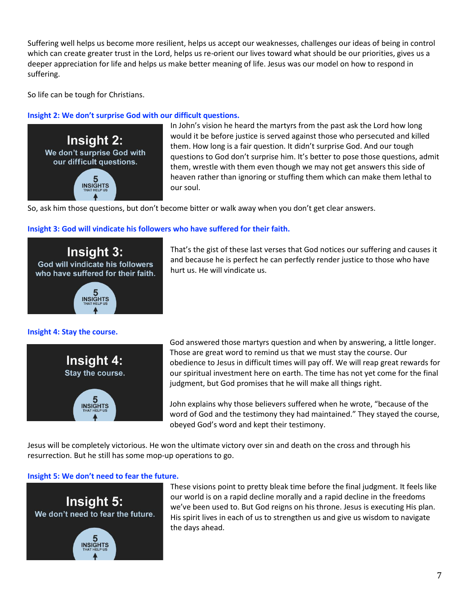Suffering well helps us become more resilient, helps us accept our weaknesses, challenges our ideas of being in control which can create greater trust in the Lord, helps us re-orient our lives toward what should be our priorities, gives us a deeper appreciation for life and helps us make better meaning of life. Jesus was our model on how to respond in suffering.

So life can be tough for Christians.

## **Insight 2: We don't surprise God with our difficult questions.**



In John's vision he heard the martyrs from the past ask the Lord how long would it be before justice is served against those who persecuted and killed them. How long is a fair question. It didn't surprise God. And our tough questions to God don't surprise him. It's better to pose those questions, admit them, wrestle with them even though we may not get answers this side of heaven rather than ignoring or stuffing them which can make them lethal to our soul.

So, ask him those questions, but don't become bitter or walk away when you don't get clear answers.

### **Insight 3: God will vindicate his followers who have suffered for their faith.**



**Insight 4: Stay the course.**



That's the gist of these last verses that God notices our suffering and causes it and because he is perfect he can perfectly render justice to those who have hurt us. He will vindicate us.

God answered those martyrs question and when by answering, a little longer. Those are great word to remind us that we must stay the course. Our obedience to Jesus in difficult times will pay off. We will reap great rewards for our spiritual investment here on earth. The time has not yet come for the final judgment, but God promises that he will make all things right.

John explains why those believers suffered when he wrote, "because of the word of God and the testimony they had maintained." They stayed the course, obeyed God's word and kept their testimony.

Jesus will be completely victorious. He won the ultimate victory over sin and death on the cross and through his resurrection. But he still has some mop-up operations to go.

#### **Insight 5: We don't need to fear the future.**



These visions point to pretty bleak time before the final judgment. It feels like our world is on a rapid decline morally and a rapid decline in the freedoms we've been used to. But God reigns on his throne. Jesus is executing His plan. His spirit lives in each of us to strengthen us and give us wisdom to navigate the days ahead.